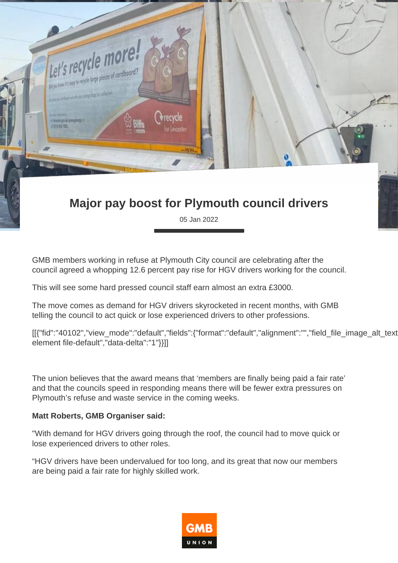

05 Jan 2022

GMB members working in refuse at Plymouth City council are celebrating after the council agreed a whopping 12.6 percent pay rise for HGV drivers working for the council.

This will see some hard pressed council staff earn almost an extra £3000.

The move comes as demand for HGV drivers skyrocketed in recent months, with GMB telling the council to act quick or lose experienced drivers to other professions.

[[{"fid":"40102","view\_mode":"default","fields":{"format":"default","alignment":"","field\_file\_image\_alt\_text element file-default","data-delta":"1"}}]]

The union believes that the award means that 'members are finally being paid a fair rate' and that the councils speed in responding means there will be fewer extra pressures on Plymouth's refuse and waste service in the coming weeks.

## **Matt Roberts, GMB Organiser said:**

"With demand for HGV drivers going through the roof, the council had to move quick or lose experienced drivers to other roles.

"HGV drivers have been undervalued for too long, and its great that now our members are being paid a fair rate for highly skilled work.